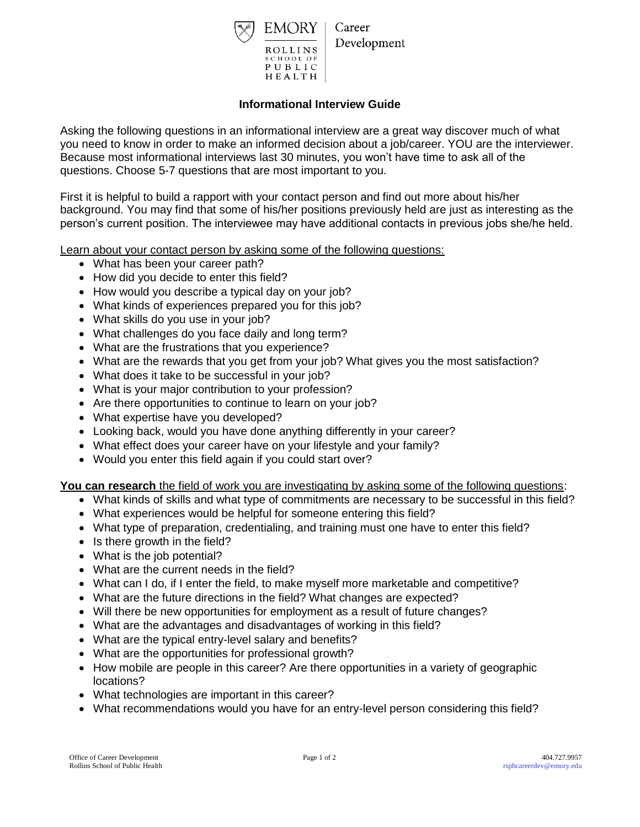

Development

## **Informational Interview Guide**

Asking the following questions in an informational interview are a great way discover much of what you need to know in order to make an informed decision about a job/career. YOU are the interviewer. Because most informational interviews last 30 minutes, you won't have time to ask all of the questions. Choose 5-7 questions that are most important to you.

First it is helpful to build a rapport with your contact person and find out more about his/her background. You may find that some of his/her positions previously held are just as interesting as the person's current position. The interviewee may have additional contacts in previous jobs she/he held.

Learn about your contact person by asking some of the following questions:

- What has been your career path?
- How did you decide to enter this field?
- How would you describe a typical day on your job?
- What kinds of experiences prepared you for this job?
- What skills do you use in your job?
- What challenges do you face daily and long term?
- What are the frustrations that you experience?
- What are the rewards that you get from your job? What gives you the most satisfaction?
- What does it take to be successful in your job?
- What is your major contribution to your profession?
- Are there opportunities to continue to learn on your job?
- What expertise have you developed?
- Looking back, would you have done anything differently in your career?
- What effect does your career have on your lifestyle and your family?
- Would you enter this field again if you could start over?

**You can research** the field of work you are investigating by asking some of the following questions:

- What kinds of skills and what type of commitments are necessary to be successful in this field?
- What experiences would be helpful for someone entering this field?
- What type of preparation, credentialing, and training must one have to enter this field?
- Is there growth in the field?
- What is the job potential?
- What are the current needs in the field?
- What can I do, if I enter the field, to make myself more marketable and competitive?
- What are the future directions in the field? What changes are expected?
- Will there be new opportunities for employment as a result of future changes?
- What are the advantages and disadvantages of working in this field?
- What are the typical entry-level salary and benefits?
- What are the opportunities for professional growth?
- How mobile are people in this career? Are there opportunities in a variety of geographic locations?
- What technologies are important in this career?
- What recommendations would you have for an entry-level person considering this field?